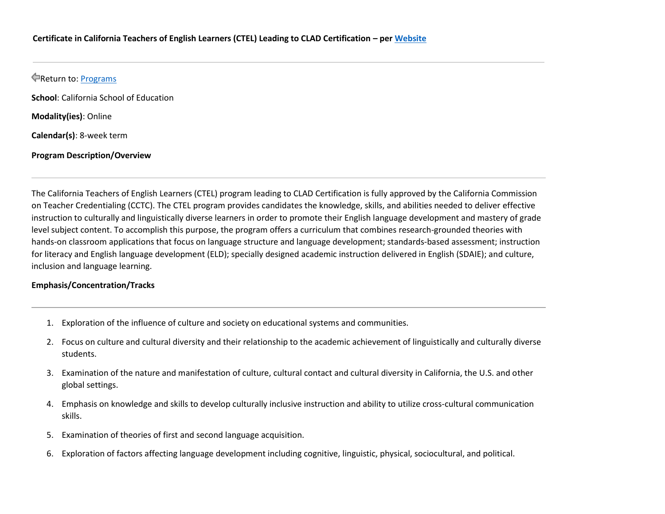# Return to: [Programs](https://catalog.alliant.edu/content.php?catoid=33&navoid=1349)

**School**: California School of Education

**Modality(ies)**: Online

**Calendar(s)**: 8-week term

#### **Program Description/Overview**

The California Teachers of English Learners (CTEL) program leading to CLAD Certification is fully approved by the California Commission on Teacher Credentialing (CCTC). The CTEL program provides candidates the knowledge, skills, and abilities needed to deliver effective instruction to culturally and linguistically diverse learners in order to promote their English language development and mastery of grade level subject content. To accomplish this purpose, the program offers a curriculum that combines research-grounded theories with hands-on classroom applications that focus on language structure and language development; standards-based assessment; instruction for literacy and English language development (ELD); specially designed academic instruction delivered in English (SDAIE); and culture, inclusion and language learning.

#### **Emphasis/Concentration/Tracks**

- 1. Exploration of the influence of culture and society on educational systems and communities.
- 2. Focus on culture and cultural diversity and their relationship to the academic achievement of linguistically and culturally diverse students.
- 3. Examination of the nature and manifestation of culture, cultural contact and cultural diversity in California, the U.S. and other global settings.
- 4. Emphasis on knowledge and skills to develop culturally inclusive instruction and ability to utilize cross-cultural communication skills.
- 5. Examination of theories of first and second language acquisition.
- 6. Exploration of factors affecting language development including cognitive, linguistic, physical, sociocultural, and political.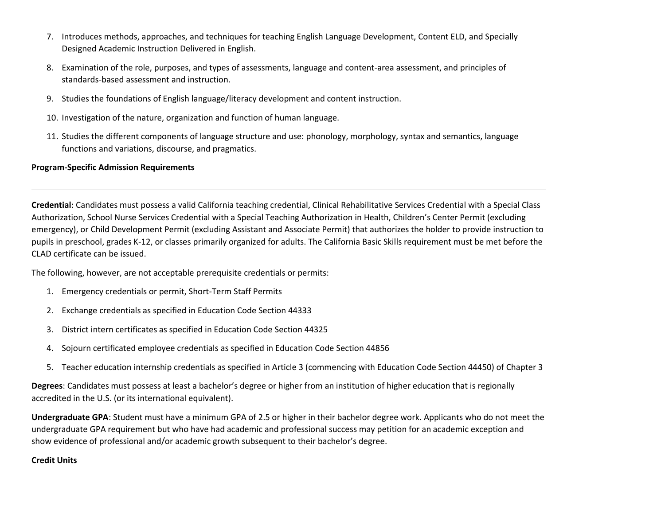- 7. Introduces methods, approaches, and techniques for teaching English Language Development, Content ELD, and Specially Designed Academic Instruction Delivered in English.
- 8. Examination of the role, purposes, and types of assessments, language and content-area assessment, and principles of standards-based assessment and instruction.
- 9. Studies the foundations of English language/literacy development and content instruction.
- 10. Investigation of the nature, organization and function of human language.
- 11. Studies the different components of language structure and use: phonology, morphology, syntax and semantics, language functions and variations, discourse, and pragmatics.

### **Program-Specific Admission Requirements**

**Credential**: Candidates must possess a valid California teaching credential, Clinical Rehabilitative Services Credential with a Special Class Authorization, School Nurse Services Credential with a Special Teaching Authorization in Health, Children's Center Permit (excluding emergency), or Child Development Permit (excluding Assistant and Associate Permit) that authorizes the holder to provide instruction to pupils in preschool, grades K-12, or classes primarily organized for adults. The California Basic Skills requirement must be met before the CLAD certificate can be issued.

The following, however, are not acceptable prerequisite credentials or permits:

- 1. Emergency credentials or permit, Short-Term Staff Permits
- 2. Exchange credentials as specified in Education Code Section 44333
- 3. District intern certificates as specified in Education Code Section 44325
- 4. Sojourn certificated employee credentials as specified in Education Code Section 44856
- 5. Teacher education internship credentials as specified in Article 3 (commencing with Education Code Section 44450) of Chapter 3

**Degrees**: Candidates must possess at least a bachelor's degree or higher from an institution of higher education that is regionally accredited in the U.S. (or its international equivalent).

**Undergraduate GPA**: Student must have a minimum GPA of 2.5 or higher in their bachelor degree work. Applicants who do not meet the undergraduate GPA requirement but who have had academic and professional success may petition for an academic exception and show evidence of professional and/or academic growth subsequent to their bachelor's degree.

## **Credit Units**